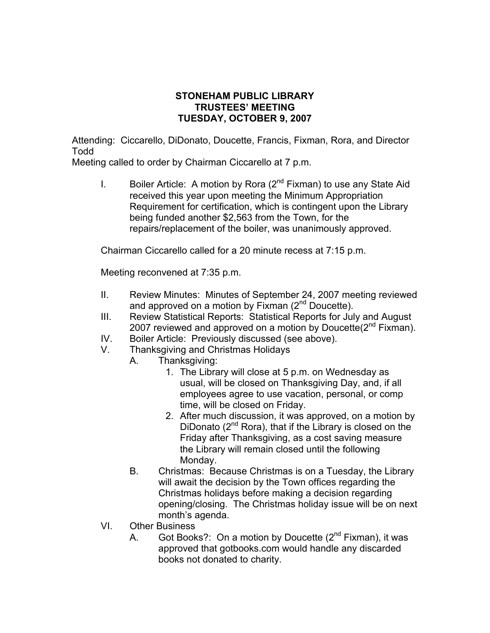## **STONEHAM PUBLIC LIBRARY TRUSTEES' MEETING TUESDAY, OCTOBER 9, 2007**

Attending: Ciccarello, DiDonato, Doucette, Francis, Fixman, Rora, and Director Todd

Meeting called to order by Chairman Ciccarello at 7 p.m.

I. Boiler Article: A motion by Rora  $(2^{nd}$  Fixman) to use any State Aid received this year upon meeting the Minimum Appropriation Requirement for certification, which is contingent upon the Library being funded another \$2,563 from the Town, for the repairs/replacement of the boiler, was unanimously approved.

Chairman Ciccarello called for a 20 minute recess at 7:15 p.m.

Meeting reconvened at 7:35 p.m.

- II. Review Minutes: Minutes of September 24, 2007 meeting reviewed and approved on a motion by Fixman  $(2^{nd}$  Doucette).
- III. Review Statistical Reports: Statistical Reports for July and August 2007 reviewed and approved on a motion by Doucette $(2^{nd}$  Fixman).
- IV. Boiler Article: Previously discussed (see above).
- V. Thanksgiving and Christmas Holidays
	- A. Thanksgiving:
		- 1. The Library will close at 5 p.m. on Wednesday as usual, will be closed on Thanksgiving Day, and, if all employees agree to use vacation, personal, or comp time, will be closed on Friday.
		- 2. After much discussion, it was approved, on a motion by DiDonato  $(2^{nd}$  Rora), that if the Library is closed on the Friday after Thanksgiving, as a cost saving measure the Library will remain closed until the following Monday.
	- B. Christmas: Because Christmas is on a Tuesday, the Library will await the decision by the Town offices regarding the Christmas holidays before making a decision regarding opening/closing. The Christmas holiday issue will be on next month's agenda.
- VI. Other Business
	- A. Got Books?: On a motion by Doucette  $(2^{nd}$  Fixman), it was approved that gotbooks.com would handle any discarded books not donated to charity.